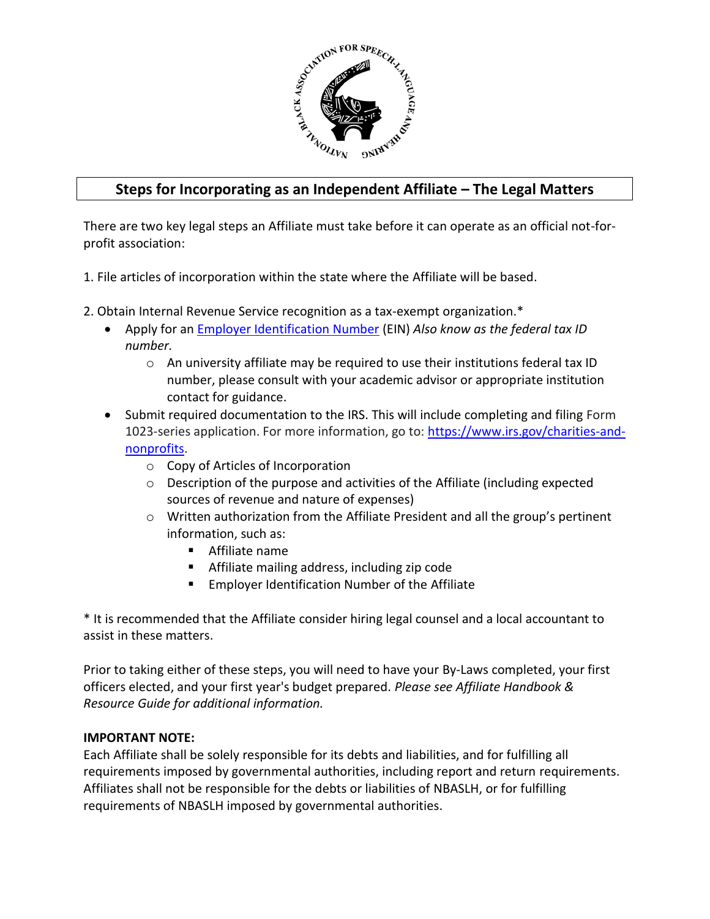

# **Steps for Incorporating as an Independent Affiliate – The Legal Matters**

There are two key legal steps an Affiliate must take before it can operate as an official not-forprofit association:

- 1. File articles of incorporation within the state where the Affiliate will be based.
- 2. Obtain Internal Revenue Service recognition as a tax-exempt organization.\*
	- Apply for an [Employer Identification Number](http://www.irs.gov/businesses/small/article/0,,id=102767,00.html) (EIN) *Also know as the federal tax ID number.*
		- o An university affiliate may be required to use their institutions federal tax ID number, please consult with your academic advisor or appropriate institution contact for guidance.
	- Submit required documentation to the IRS. This will include completing and filing Form 1023-series application. For more information, go to: [https://www.irs.gov/charities-and](https://www.irs.gov/charities-and-nonprofits)[nonprofits.](https://www.irs.gov/charities-and-nonprofits)
		- o Copy of Articles of Incorporation
		- $\circ$  Description of the purpose and activities of the Affiliate (including expected sources of revenue and nature of expenses)
		- o Written authorization from the Affiliate President and all the group's pertinent information, such as:
			- Affiliate name
			- Affiliate mailing address, including zip code
			- **Employer Identification Number of the Affiliate**

\* It is recommended that the Affiliate consider hiring legal counsel and a local accountant to assist in these matters.

Prior to taking either of these steps, you will need to have your By-Laws completed, your first officers elected, and your first year's budget prepared. *Please see Affiliate Handbook & Resource Guide for additional information.*

### **IMPORTANT NOTE:**

Each Affiliate shall be solely responsible for its debts and liabilities, and for fulfilling all requirements imposed by governmental authorities, including report and return requirements. Affiliates shall not be responsible for the debts or liabilities of NBASLH, or for fulfilling requirements of NBASLH imposed by governmental authorities.